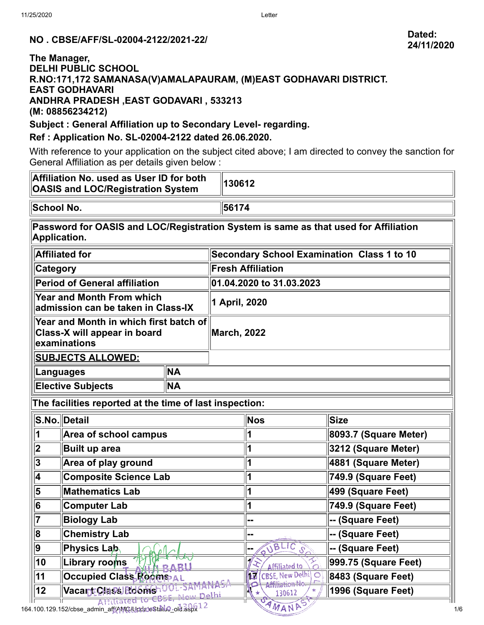# **24/11/2020**

# **NO . CBSE/AFF/SL-02004-2122/2021-22/ Dated:**

#### **The Manager, DELHI PUBLIC SCHOOL R.NO:171,172 SAMANASA(V)AMALAPAURAM, (M)EAST GODHAVARI DISTRICT. EAST GODHAVARI ANDHRA PRADESH ,EAST GODAVARI , 533213 (M: 08856234212)**

#### **Subject : General Affiliation up to Secondary Level- regarding.**

### **Ref : Application No. SL-02004-2122 dated 26.06.2020.**

With reference to your application on the subject cited above; I am directed to convey the sanction for General Affiliation as per details given below :

| Affiliation No. used as User ID for both<br><b>OASIS and LOC/Registration System</b>                                                                                                                              |  |                                                   | 130612                                         |                       |  |  |
|-------------------------------------------------------------------------------------------------------------------------------------------------------------------------------------------------------------------|--|---------------------------------------------------|------------------------------------------------|-----------------------|--|--|
| School No.                                                                                                                                                                                                        |  |                                                   | 56174                                          |                       |  |  |
| Password for OASIS and LOC/Registration System is same as that used for Affiliation<br>Application.                                                                                                               |  |                                                   |                                                |                       |  |  |
| <b>Affiliated for</b>                                                                                                                                                                                             |  | <b>Secondary School Examination Class 1 to 10</b> |                                                |                       |  |  |
| <b>Category</b>                                                                                                                                                                                                   |  | <b>Fresh Affiliation</b>                          |                                                |                       |  |  |
| Period of General affiliation                                                                                                                                                                                     |  | 01.04.2020 to 31.03.2023                          |                                                |                       |  |  |
| <b>Year and Month From which</b><br>admission can be taken in Class-IX                                                                                                                                            |  | 1 April, 2020                                     |                                                |                       |  |  |
| Year and Month in which first batch of<br>Class-X will appear in board<br>examinations                                                                                                                            |  | <b>March, 2022</b>                                |                                                |                       |  |  |
| <b>SUBJECTS ALLOWED:</b>                                                                                                                                                                                          |  |                                                   |                                                |                       |  |  |
| <b>NA</b><br>Languages                                                                                                                                                                                            |  |                                                   |                                                |                       |  |  |
| <b>NA</b><br><b>Elective Subjects</b>                                                                                                                                                                             |  |                                                   |                                                |                       |  |  |
| The facilities reported at the time of last inspection:                                                                                                                                                           |  |                                                   |                                                |                       |  |  |
| S.No. Detail                                                                                                                                                                                                      |  |                                                   | Nos                                            | Size                  |  |  |
| 1                                                                                                                                                                                                                 |  | 1                                                 |                                                | 8093.7 (Square Meter) |  |  |
| $\overline{\mathbf{2}}$<br><b>Built up area</b>                                                                                                                                                                   |  |                                                   |                                                | 3212 (Square Meter)   |  |  |
| $ \overline{\mathsf{3}} $<br>Area of play ground                                                                                                                                                                  |  |                                                   |                                                | 4881 (Square Meter)   |  |  |
| $\overline{\mathbf{4}}$<br><b>Composite Science Lab</b>                                                                                                                                                           |  |                                                   |                                                | 749.9 (Square Feet)   |  |  |
| <b>Mathematics Lab</b>                                                                                                                                                                                            |  |                                                   |                                                | 499 (Square Feet)     |  |  |
| <b>Computer Lab</b>                                                                                                                                                                                               |  |                                                   |                                                | 749.9 (Square Feet)   |  |  |
| <b>Biology Lab</b>                                                                                                                                                                                                |  | --                                                | -- (Square Feet)                               |                       |  |  |
| <b>Chemistry Lab</b>                                                                                                                                                                                              |  |                                                   | --                                             | -- (Square Feet)      |  |  |
| <b>Physics Lab</b>                                                                                                                                                                                                |  |                                                   | UBLIC S                                        | -- (Square Feet)      |  |  |
| Library rooms                                                                                                                                                                                                     |  |                                                   | <b>Affiliated to</b>                           | 999.75 (Square Feet)  |  |  |
| <b>Occupied Class Rooms AL</b>                                                                                                                                                                                    |  |                                                   | 117<br>C                                       | 8483 (Square Feet)    |  |  |
| نطلهن سميم<br>Affiliated to CBSI                                                                                                                                                                                  |  |                                                   | 130612                                         | 1996 (Square Feet)    |  |  |
| <b>Area of school campus</b><br>$\overline{\mathbf{5}}$<br>$\overline{6}$<br>$\overline{\overline{7}}$<br>$\overline{\mathbf{8}}$<br>9<br>$\overline{10}$<br>$\overline{11}$<br>Vacant Chass Rooms OU - SAM<br>12 |  | 1<br>1<br>1<br>1<br>1                             | <b>CBSE, New Delhi</b><br>Affiliafio<br>AMANDS |                       |  |  |

164.100.129.152/cbse\_admin\_aff/AMC/UpdateStatus\_old.aspx 1/6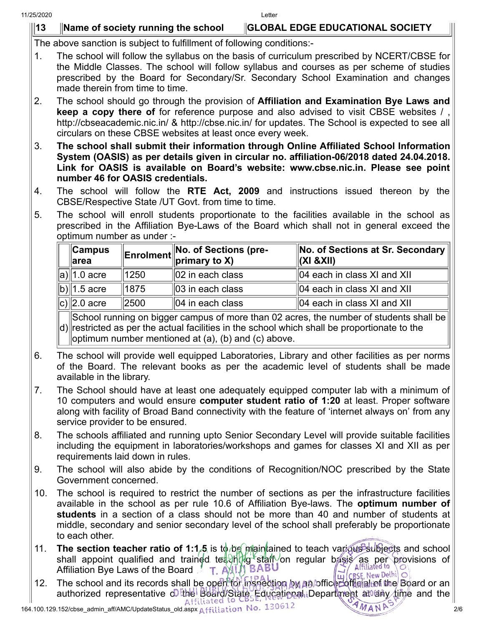## **13 Name of society running the school GLOBAL EDGE EDUCATIONAL SOCIETY**

The above sanction is subject to fulfillment of following conditions:-

- 1. The school will follow the syllabus on the basis of curriculum prescribed by NCERT/CBSE for the Middle Classes. The school will follow syllabus and courses as per scheme of studies prescribed by the Board for Secondary/Sr. Secondary School Examination and changes made therein from time to time.
- 2. The school should go through the provision of **Affiliation and Examination Bye Laws and keep a copy there of** for reference purpose and also advised to visit CBSE websites / , http://cbseacademic.nic.in/ & http://cbse.nic.in/ for updates. The School is expected to see all circulars on these CBSE websites at least once every week.
- 3. **The school shall submit their information through Online Affiliated School Information System (OASIS) as per details given in circular no. affiliation-06/2018 dated 24.04.2018. Link for OASIS is available on Board's website: www.cbse.nic.in. Please see point number 46 for OASIS credentials.**
- 4. The school will follow the **RTE Act, 2009** and instructions issued thereon by the CBSE/Respective State /UT Govt. from time to time.
- 5. The school will enroll students proportionate to the facilities available in the school as prescribed in the Affiliation Bye-Laws of the Board which shall not in general exceed the optimum number as under :-

| $\ $ Campus<br>$\parallel$ area |                  | <b>Enrolment</b> No. of Sections (pre- | <b>No. of Sections at Sr. Secondary</b><br>$\ $ (XI &XII) |
|---------------------------------|------------------|----------------------------------------|-----------------------------------------------------------|
| $a)$   1.0 acre                 | 1250             | $  02$ in each class                   | $\parallel$ 04 each in class XI and XII                   |
| b) 1.5 acre                     | ∥1875            | $\parallel$ 03 in each class           | $\parallel$ 04 each in class XI and XII                   |
| c) $\ 2.0\right.$ acre          | $\parallel$ 2500 | $  04$ in each class                   | $\parallel$ 04 each in class XI and XII                   |

d) restricted as per the actual facilities in the school which shall be proportionate to the School running on bigger campus of more than 02 acres, the number of students shall be optimum number mentioned at (a), (b) and (c) above.

- 6. The school will provide well equipped Laboratories, Library and other facilities as per norms of the Board. The relevant books as per the academic level of students shall be made available in the library.
- 7. The School should have at least one adequately equipped computer lab with a minimum of 10 computers and would ensure **computer student ratio of 1:20** at least. Proper software along with facility of Broad Band connectivity with the feature of 'internet always on' from any service provider to be ensured.
- 8. The schools affiliated and running upto Senior Secondary Level will provide suitable facilities including the equipment in laboratories/workshops and games for classes XI and XII as per requirements laid down in rules.
- 9. The school will also abide by the conditions of Recognition/NOC prescribed by the State Government concerned.
- 10. The school is required to restrict the number of sections as per the infrastructure facilities available in the school as per rule 10.6 of Affiliation Bye-laws. The **optimum number of students** in a section of a class should not be more than 40 and number of students at middle, secondary and senior secondary level of the school shall preferably be proportionate to each other.
- 11. **The section teacher ratio of 1:1.5** is to be maintained to teach various subjects and school shall appoint qualified and trained teaching staff on regular basis as per provisions of Affiliated to  $\frac{1}{2}$ Affiliation Bye Laws of the Board
- Animation by Laws of the Board **1. PAU BOARD MANACTION** (CBSE, New Delhi) O<br>12. The school and its records shall be open for inspection by an officer of the Board or an authorized representative of the Board/State Educational Department at any time and the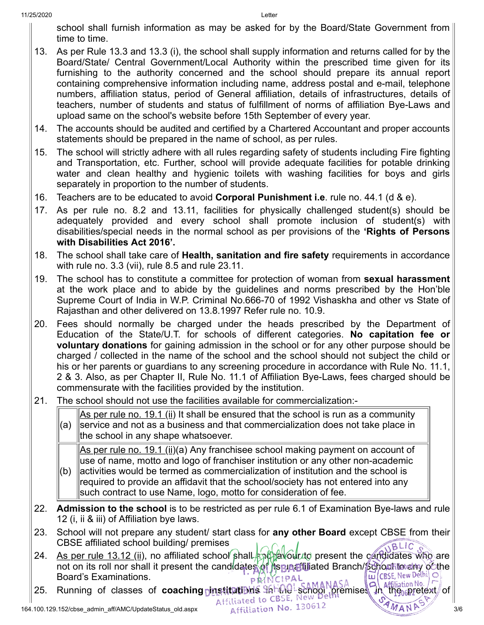school shall furnish information as may be asked for by the Board/State Government from time to time.

- 13. As per Rule 13.3 and 13.3 (i), the school shall supply information and returns called for by the Board/State/ Central Government/Local Authority within the prescribed time given for its furnishing to the authority concerned and the school should prepare its annual report containing comprehensive information including name, address postal and e-mail, telephone numbers, affiliation status, period of General affiliation, details of infrastructures, details of teachers, number of students and status of fulfillment of norms of affiliation Bye-Laws and upload same on the school's website before 15th September of every year.
- 14. The accounts should be audited and certified by a Chartered Accountant and proper accounts statements should be prepared in the name of school, as per rules.
- 15. The school will strictly adhere with all rules regarding safety of students including Fire fighting and Transportation, etc. Further, school will provide adequate facilities for potable drinking water and clean healthy and hygienic toilets with washing facilities for boys and girls separately in proportion to the number of students.
- 16. Teachers are to be educated to avoid **Corporal Punishment i.e**. rule no. 44.1 (d & e).
- 17. As per rule no. 8.2 and 13.11, facilities for physically challenged student(s) should be adequately provided and every school shall promote inclusion of student(s) with disabilities/special needs in the normal school as per provisions of the **'Rights of Persons with Disabilities Act 2016'.**
- 18. The school shall take care of **Health, sanitation and fire safety** requirements in accordance with rule no. 3.3 (vii), rule 8.5 and rule 23.11.
- 19. The school has to constitute a committee for protection of woman from **sexual harassment** at the work place and to abide by the guidelines and norms prescribed by the Hon'ble Supreme Court of India in W.P. Criminal No.666-70 of 1992 Vishaskha and other vs State of Rajasthan and other delivered on 13.8.1997 Refer rule no. 10.9.
- 20. Fees should normally be charged under the heads prescribed by the Department of Education of the State/U.T. for schools of different categories. **No capitation fee or voluntary donations** for gaining admission in the school or for any other purpose should be charged / collected in the name of the school and the school should not subject the child or his or her parents or guardians to any screening procedure in accordance with Rule No. 11.1, 2 & 3. Also, as per Chapter II, Rule No. 11.1 of Affiliation Bye-Laws, fees charged should be commensurate with the facilities provided by the institution.
- 21. The school should not use the facilities available for commercialization:-

(a) As per rule no. 19.1 (ii) It shall be ensured that the school is run as a community service and not as a business and that commercialization does not take place in the school in any shape whatsoever.

As per rule no. 19.1 (ii)(a) Any franchisee school making payment on account of use of name, motto and logo of franchiser institution or any other non-academic

- $(b)$ activities would be termed as commercialization of institution and the school is required to provide an affidavit that the school/society has not entered into any such contract to use Name, logo, motto for consideration of fee.
- 22. **Admission to the school** is to be restricted as per rule 6.1 of Examination Bye-laws and rule 12 (i, ii & iii) of Affiliation bye laws.
- 23. School will not prepare any student/ start class for **any other Board** except CBSE from their CBSE affiliated school building/ premises **BLIC**
- 24. As per rule 13.12 (ii), no affiliated school shall end pavolit to present the candidates who are not on its roll nor shall it present the candidates of its unaffiliated Branch/School to all the Board's Examinations. Board's Examinations. PRINCIPAL
- **25. Running of classes of coaching president in the school premises in the property of** the school premises in the pretext of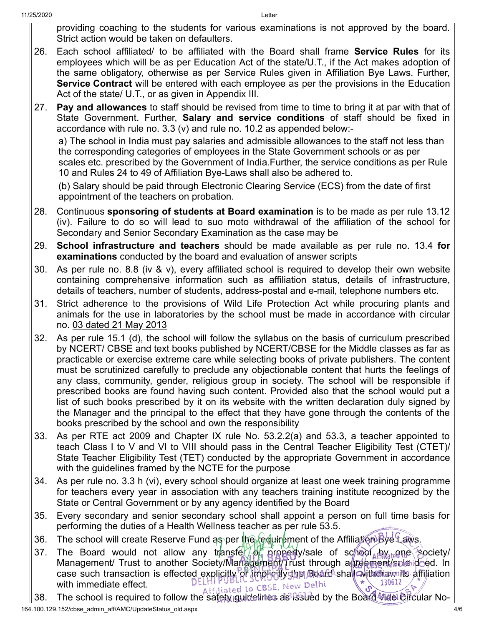providing coaching to the students for various examinations is not approved by the board. Strict action would be taken on defaulters.

- 26. Each school affiliated/ to be affiliated with the Board shall frame **Service Rules** for its employees which will be as per Education Act of the state/U.T., if the Act makes adoption of the same obligatory, otherwise as per Service Rules given in Affiliation Bye Laws. Further, **Service Contract** will be entered with each employee as per the provisions in the Education Act of the state/ U.T., or as given in Appendix III.
- 27. **Pay and allowances** to staff should be revised from time to time to bring it at par with that of State Government. Further, **Salary and service conditions** of staff should be fixed in accordance with rule no. 3.3 (v) and rule no. 10.2 as appended below:-

a) The school in India must pay salaries and admissible allowances to the staff not less than the corresponding categories of employees in the State Government schools or as per scales etc. prescribed by the Government of India.Further, the service conditions as per Rule 10 and Rules 24 to 49 of Affiliation Bye-Laws shall also be adhered to.

(b) Salary should be paid through Electronic Clearing Service (ECS) from the date of first appointment of the teachers on probation.

- 28. Continuous **sponsoring of students at Board examination** is to be made as per rule 13.12 (iv). Failure to do so will lead to suo moto withdrawal of the affiliation of the school for Secondary and Senior Secondary Examination as the case may be
- 29. **School infrastructure and teachers** should be made available as per rule no. 13.4 **for examinations** conducted by the board and evaluation of answer scripts
- 30. As per rule no. 8.8 (iv & v), every affiliated school is required to develop their own website containing comprehensive information such as affiliation status, details of infrastructure, details of teachers, number of students, address-postal and e-mail, telephone numbers etc.
- 31. Strict adherence to the provisions of Wild Life Protection Act while procuring plants and animals for the use in laboratories by the school must be made in accordance with circular no. 03 dated 21 May 2013
- 32. As per rule 15.1 (d), the school will follow the syllabus on the basis of curriculum prescribed by NCERT/ CBSE and text books published by NCERT/CBSE for the Middle classes as far as practicable or exercise extreme care while selecting books of private publishers. The content must be scrutinized carefully to preclude any objectionable content that hurts the feelings of any class, community, gender, religious group in society. The school will be responsible if prescribed books are found having such content. Provided also that the school would put a list of such books prescribed by it on its website with the written declaration duly signed by the Manager and the principal to the effect that they have gone through the contents of the books prescribed by the school and own the responsibility
- 33. As per RTE act 2009 and Chapter IX rule No. 53.2.2(a) and 53.3, a teacher appointed to teach Class I to V and VI to VIII should pass in the Central Teacher Eligibility Test (CTET)/ State Teacher Eligibility Test (TET) conducted by the appropriate Government in accordance with the guidelines framed by the NCTE for the purpose
- 34. As per rule no. 3.3 h (vi), every school should organize at least one week training programme for teachers every year in association with any teachers training institute recognized by the State or Central Government or by any agency identified by the Board
- 35. Every secondary and senior secondary school shall appoint a person on full time basis for performing the duties of a Health Wellness teacher as per rule 53.5.
- 36. The school will create Reserve Fund as per the reduirement of the Affiliation Bye Laws.
- 37. The Board would not allow any transfer of property/sale of school apvarence society/ Management/ Trust to another Society/Management/Trust through a freement/sale deed. In case such transaction is effected explicitly of implicitly shall also shall with diraw its affiliation<br>with immediate effect.<br>The set of the BSE, New Delhi <u>DELHI I</u> with immediate effect.

164.100.129.152/cbse\_admin\_aff/AMC/UpdateStatus\_old.aspx 4/6 38. The school is required to follow the safety guidelines as issued by the Board Midel Circular No-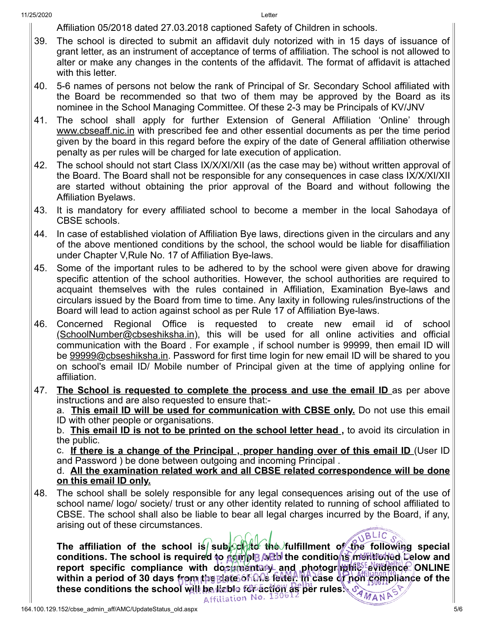Affiliation 05/2018 dated 27.03.2018 captioned Safety of Children in schools.

- 39. The school is directed to submit an affidavit duly notorized with in 15 days of issuance of grant letter, as an instrument of acceptance of terms of affiliation. The school is not allowed to alter or make any changes in the contents of the affidavit. The format of affidavit is attached with this letter.
- 40. 5-6 names of persons not below the rank of Principal of Sr. Secondary School affiliated with the Board be recommended so that two of them may be approved by the Board as its nominee in the School Managing Committee. Of these 2-3 may be Principals of KV/JNV
- 41. The school shall apply for further Extension of General Affiliation 'Online' through www.cbseaff.nic.in with prescribed fee and other essential documents as per the time period given by the board in this regard before the expiry of the date of General affiliation otherwise penalty as per rules will be charged for late execution of application.
- 42. The school should not start Class IX/X/XI/XII (as the case may be) without written approval of the Board. The Board shall not be responsible for any consequences in case class IX/X/XI/XII are started without obtaining the prior approval of the Board and without following the Affiliation Byelaws.
- 43. It is mandatory for every affiliated school to become a member in the local Sahodaya of CBSE schools.
- 44. In case of established violation of Affiliation Bye laws, directions given in the circulars and any of the above mentioned conditions by the school, the school would be liable for disaffiliation under Chapter V,Rule No. 17 of Affiliation Bye-laws.
- 45. Some of the important rules to be adhered to by the school were given above for drawing specific attention of the school authorities. However, the school authorities are required to acquaint themselves with the rules contained in Affiliation, Examination Bye-laws and circulars issued by the Board from time to time. Any laxity in following rules/instructions of the Board will lead to action against school as per Rule 17 of Affiliation Bye-laws.
- 46. Concerned Regional Office is requested to create new email id of school (SchoolNumber@cbseshiksha.in), this will be used for all online activities and official communication with the Board . For example , if school number is 99999, then email ID will be 99999@cbseshiksha.in. Password for first time login for new email ID will be shared to you on school's email ID/ Mobile number of Principal given at the time of applying online for affiliation.
- 47. **The School is requested to complete the process and use the email ID** as per above instructions and are also requested to ensure that:-

a. **This email ID will be used for communication with CBSE only.** Do not use this email ID with other people or organisations.

b. **This email ID is not to be printed on the school letter head ,** to avoid its circulation in the public.

c. **If there is a change of the Principal , proper handing over of this email ID** (User ID and Password ) be done between outgoing and incoming Principal .

d. **All the examination related work and all CBSE related correspondence will be done on this email ID only.**

48. The school shall be solely responsible for any legal consequences arising out of the use of school name/ logo/ society/ trust or any other identity related to running of school affiliated to CBSE. The school shall also be liable to bear all legal charges incurred by the Board, if any, arising out of these circumstances.

**BLIC** The affiliation of the school is subscript the fulfillment of the following special conditions. The school is required to *domple with the conditions mentioned* below and report specific compliance with documentary and photographic evidence ONLINE within a period of 30 days from the Blate of the felter. In case of non compliance of the **these conditions the school will be liable for action as per rules:**  $\sigma_{MAN}$